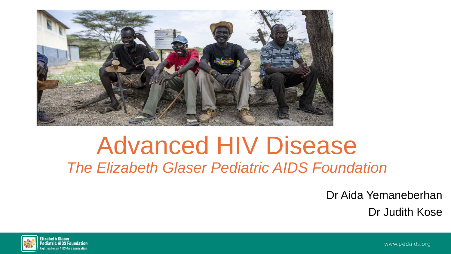

## Advanced HIV Disease *The Elizabeth Glaser Pediatric AIDS Foundation*

Dr Aida Yemaneberhan Dr Judith Kose



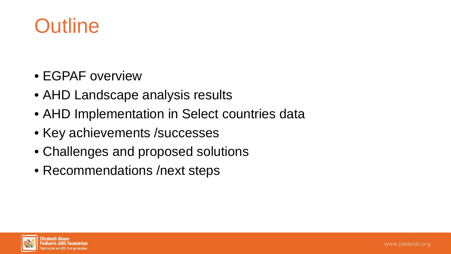

- EGPAF overview
- AHD Landscape analysis results
- AHD Implementation in Select countries data
- Key achievements / successes
- Challenges and proposed solutions
- Recommendations / next steps

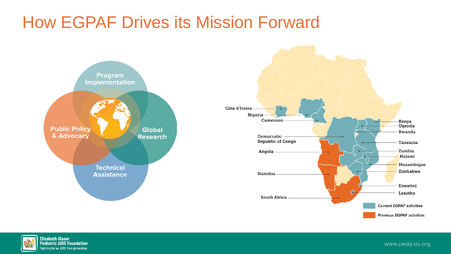## How EGPAF Drives its Mission Forward





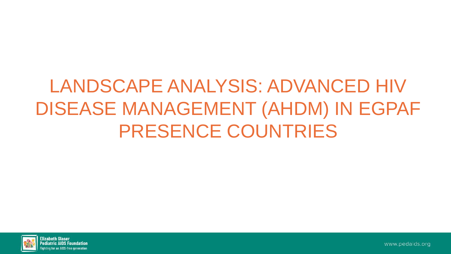# LANDSCAPE ANALYSIS: ADVANCED HIV DISEASE MANAGEMENT (AHDM) IN EGPAF PRESENCE COUNTRIES

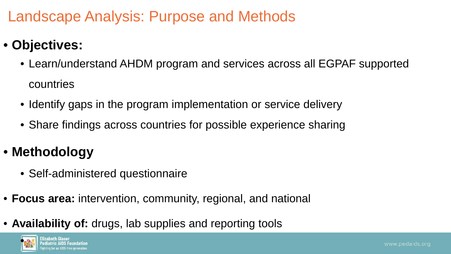### Landscape Analysis: Purpose and Methods

#### • **Objectives:**

- Learn/understand AHDM program and services across all EGPAF supported countries
- Identify gaps in the program implementation or service delivery
- Share findings across countries for possible experience sharing

### • **Methodology**

- Self-administered questionnaire
- **Focus area:** intervention, community, regional, and national
- **Availability of:** drugs, lab supplies and reporting tools

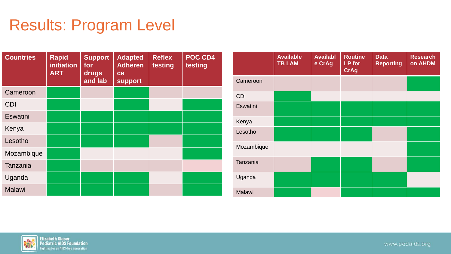## Results: Program Level

| <b>Countries</b> | <b>Rapid</b><br><b>initiation</b><br><b>ART</b> | <b>Support</b><br>for<br>drugs<br>and lab | <b>Adapted</b><br><b>Adheren</b><br>ce<br><b>support</b> | <b>Reflex</b><br>testing | POC CD4<br>testing |
|------------------|-------------------------------------------------|-------------------------------------------|----------------------------------------------------------|--------------------------|--------------------|
| Cameroon         |                                                 |                                           |                                                          |                          |                    |
| <b>CDI</b>       |                                                 |                                           |                                                          |                          |                    |
| Eswatini         |                                                 |                                           |                                                          |                          |                    |
| Kenya            |                                                 |                                           |                                                          |                          |                    |
| Lesotho          |                                                 |                                           |                                                          |                          |                    |
| Mozambique       |                                                 |                                           |                                                          |                          |                    |
| Tanzania         |                                                 |                                           |                                                          |                          |                    |
| Uganda           |                                                 |                                           |                                                          |                          |                    |
| <b>Malawi</b>    |                                                 |                                           |                                                          |                          |                    |

|               | <b>Available</b><br><b>TB LAM</b> | <b>Availabl</b><br>e CrAg | <b>Routine</b><br>LP for<br><b>CrAg</b> | <b>Data</b><br><b>Reporting</b> | <b>Research</b><br>on AHDM |
|---------------|-----------------------------------|---------------------------|-----------------------------------------|---------------------------------|----------------------------|
| Cameroon      |                                   |                           |                                         |                                 |                            |
| <b>CDI</b>    |                                   |                           |                                         |                                 |                            |
| Eswatini      |                                   |                           |                                         |                                 |                            |
| Kenya         |                                   |                           |                                         |                                 |                            |
| Lesotho       |                                   |                           |                                         |                                 |                            |
| Mozambique    |                                   |                           |                                         |                                 |                            |
| Tanzania      |                                   |                           |                                         |                                 |                            |
| Uganda        |                                   |                           |                                         |                                 |                            |
| <b>Malawi</b> |                                   |                           |                                         |                                 |                            |

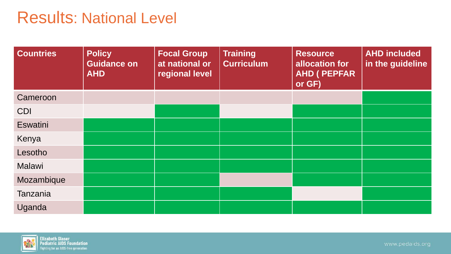### Results: National Level

| <b>Countries</b> | <b>Policy</b><br>Guidance on<br><b>AHD</b> | <b>Focal Group</b><br>at national or<br>regional level | Training<br><b>Curriculum</b> | <b>Resource</b><br>allocation for<br><b>AHD ( PEPFAR</b><br>or GF) | <b>AHD included</b><br>in the guideline |
|------------------|--------------------------------------------|--------------------------------------------------------|-------------------------------|--------------------------------------------------------------------|-----------------------------------------|
| Cameroon         |                                            |                                                        |                               |                                                                    |                                         |
| CDI              |                                            |                                                        |                               |                                                                    |                                         |
| <b>Eswatini</b>  |                                            |                                                        |                               |                                                                    |                                         |
| Kenya            |                                            |                                                        |                               |                                                                    |                                         |
| Lesotho          |                                            |                                                        |                               |                                                                    |                                         |
| Malawi           |                                            |                                                        |                               |                                                                    |                                         |
| Mozambique       |                                            |                                                        |                               |                                                                    |                                         |
| <b>Tanzania</b>  |                                            |                                                        |                               |                                                                    |                                         |
| Uganda           |                                            |                                                        |                               |                                                                    |                                         |

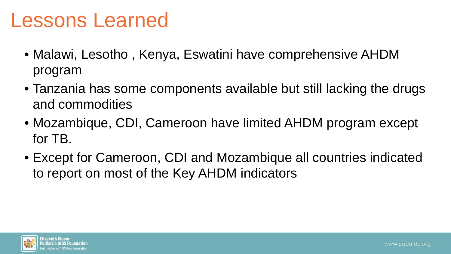## Lessons Learned

- Malawi, Lesotho , Kenya, Eswatini have comprehensive AHDM program
- Tanzania has some components available but still lacking the drugs and commodities
- Mozambique, CDI, Cameroon have limited AHDM program except for TB.
- Except for Cameroon, CDI and Mozambique all countries indicated to report on most of the Key AHDM indicators

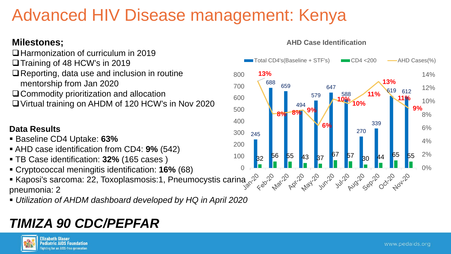## Advanced HIV Disease management: Kenya

#### **Milestones;**

- $\Box$  Harmonization of curriculum in 2019
- **□ Training of 48 HCW's in 2019**
- **□ Reporting, data use and inclusion in routine** mentorship from Jan 2020
- □ Commodity prioritization and allocation
- Virtual training on AHDM of 120 HCW's in Nov 2020

#### **Data Results**

- Baseline CD4 Uptake: **63%**
- AHD case identification from CD4: **9%** (542)
- TB Case identification: **32%** (165 cases )
- Cryptococcal meningitis identification: **16%** (68)
- Kaposi's sarcoma: 22, Toxoplasmosis:1, Pneumocystis carina and the set of the state of the set of the state of the set of the state of the set of the state of the set of the state of the set of the state of the set of the pneumonia: 2
- *Utilization of AHDM dashboard developed by HQ in April 2020*

### *TIMIZA 90 CDC/PEPFAR*



#### **AHD Case Identification**

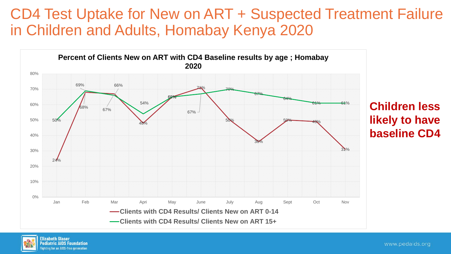### CD4 Test Uptake for New on ART + Suspected Treatment Failure in Children and Adults, Homabay Kenya 2020



**Children less likely to have baseline CD4**

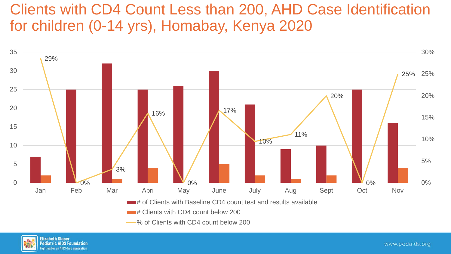### Clients with CD4 Count Less than 200, AHD Case Identification for children (0-14 yrs), Homabay, Kenya 2020



- 
- % of Clients with CD4 count below 200

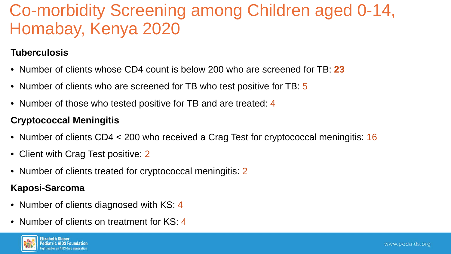## Co-morbidity Screening among Children aged 0-14, Homabay, Kenya 2020

#### **Tuberculosis**

- Number of clients whose CD4 count is below 200 who are screened for TB: **23**
- Number of clients who are screened for TB who test positive for TB: 5
- Number of those who tested positive for TB and are treated: 4

#### **Cryptococcal Meningitis**

- Number of clients CD4 < 200 who received a Crag Test for cryptococcal meningitis: 16
- Client with Crag Test positive: 2
- Number of clients treated for cryptococcal meningitis: 2

#### **Kaposi-Sarcoma**

- Number of clients diagnosed with KS: 4
- Number of clients on treatment for KS: 4

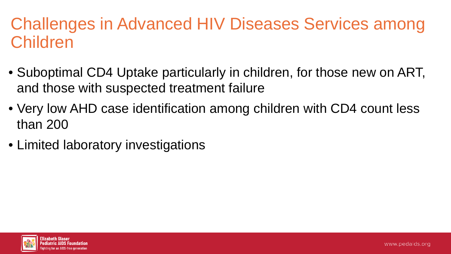## Challenges in Advanced HIV Diseases Services among Children

- Suboptimal CD4 Uptake particularly in children, for those new on ART, and those with suspected treatment failure
- Very low AHD case identification among children with CD4 count less than 200
- Limited laboratory investigations

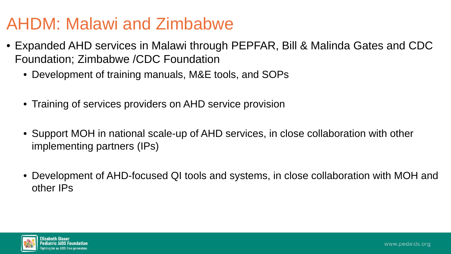## AHDM: Malawi and Zimbabwe

- Expanded AHD services in Malawi through PEPFAR, Bill & Malinda Gates and CDC Foundation; Zimbabwe /CDC Foundation
	- Development of training manuals, M&E tools, and SOPs
	- Training of services providers on AHD service provision
	- Support MOH in national scale-up of AHD services, in close collaboration with other implementing partners (IPs)
	- Development of AHD-focused QI tools and systems, in close collaboration with MOH and other IPs

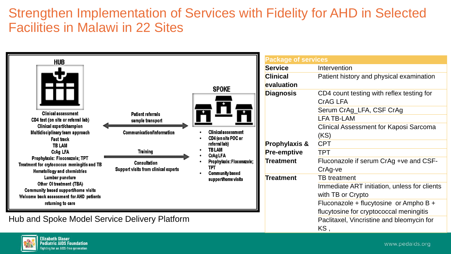#### Strengthen Implementation of Services with Fidelity for AHD in Selected Facilities in Malawi in 22 Sites



ighting for an AIDS-free generation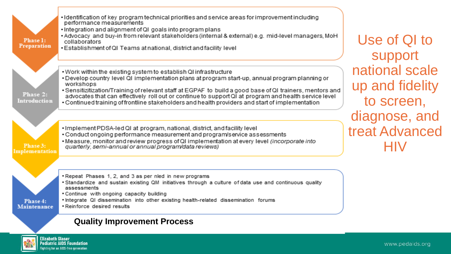

**Elizabeth Glaser**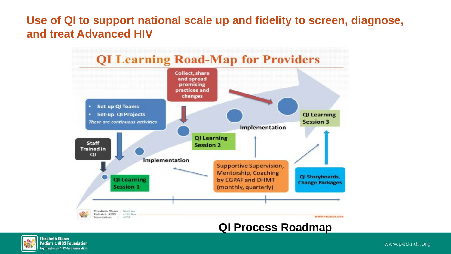#### **Use of QI to support national scale up and fidelity to screen, diagnose, and treat Advanced HIV**



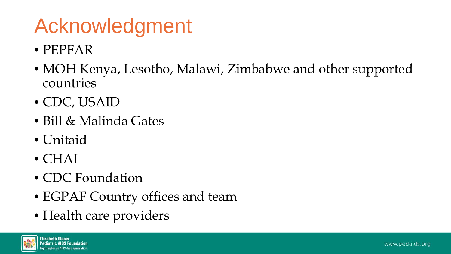# Acknowledgment

- PEPFAR
- MOH Kenya, Lesotho, Malawi, Zimbabwe and other supported countries
- CDC, USAID
- Bill & Malinda Gates
- Unitaid
- CHAI
- CDC Foundation
- EGPAF Country offices and team
- Health care providers